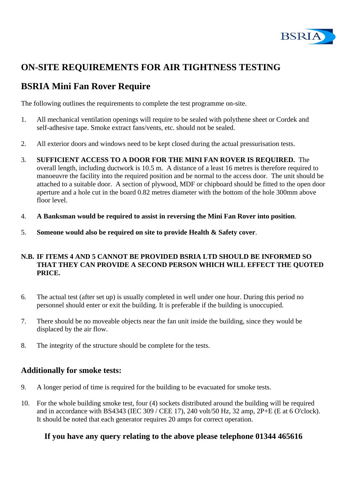

# **ON-SITE REQUIREMENTS FOR AIR TIGHTNESS TESTING**

## **BSRIA Mini Fan Rover Require**

The following outlines the requirements to complete the test programme on-site.

- 1. All mechanical ventilation openings will require to be sealed with polythene sheet or Cordek and self-adhesive tape. Smoke extract fans/vents, etc. should not be sealed.
- 2. All exterior doors and windows need to be kept closed during the actual pressurisation tests.
- 3. **SUFFICIENT ACCESS TO A DOOR FOR THE MINI FAN ROVER IS REQUIRED.** The overall length, including ductwork is 10.5 m. A distance of a least 16 metres is therefore required to manoeuvre the facility into the required position and be normal to the access door. The unit should be attached to a suitable door. A section of plywood, MDF or chipboard should be fitted to the open door aperture and a hole cut in the board 0.82 metres diameter with the bottom of the hole 300mm above floor level.
- 4. **A Banksman would be required to assist in reversing the Mini Fan Rover into position**.
- 5. **Someone would also be required on site to provide Health & Safety cover**.

#### **N.B. IF ITEMS 4 AND 5 CANNOT BE PROVIDED BSRIA LTD SHOULD BE INFORMED SO THAT THEY CAN PROVIDE A SECOND PERSON WHICH WILL EFFECT THE QUOTED PRICE.**

- 6. The actual test (after set up) is usually completed in well under one hour. During this period no personnel should enter or exit the building. It is preferable if the building is unoccupied.
- 7. There should be no moveable objects near the fan unit inside the building, since they would be displaced by the air flow.
- 8. The integrity of the structure should be complete for the tests.

#### **Additionally for smoke tests:**

- 9. A longer period of time is required for the building to be evacuated for smoke tests.
- 10. For the whole building smoke test, four (4) sockets distributed around the building will be required and in accordance with BS4343 (IEC 309 / CEE 17), 240 volt/50 Hz, 32 amp, 2P+E (E at 6 O'clock). It should be noted that each generator requires 20 amps for correct operation.

#### **If you have any query relating to the above please telephone 01344 465616**